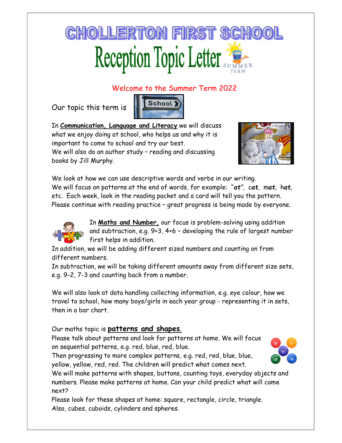## **CHOLLERTON FIRST SCHOO** Reception Topic Letter

## Welcome to the Summer Term 2022

Our topic this term is



In **Communication, Language and Literacy** we will discuss what we enjoy doing at school, who helps us and why it is important to come to school and try our best. We will also do an author study – reading and discussing books by Jill Murphy.



We look at how we can use descriptive words and verbs in our writing. We will focus on patterns at the end of words, for example: "at", cat, mat, hat, etc. Each week, look in the reading packet and a card will tell you the pattern. Please continue with reading practice – great progress is being made by everyone.



In Maths and Number, our focus is problem-solving using addition and subtraction, e.g. 9+3, 4+6 – developing the rule of largest number first helps in addition.

In addition, we will be adding different sized numbers and counting on from different numbers.

In subtraction, we will be taking different amounts away from different size sets, e.g. 9-2, 7-3 and counting back from a number.

We will also look at data handling collecting information, e.g. eye colour, how we travel to school, how many boys/girls in each year group - representing it in sets, then in a bar chart.

Our maths topic is **patterns and shapes**.

Please talk about patterns and look for patterns at home. We will focus on sequential patterns, e.g. red, blue, red, blue.

Then progressing to more complex patterns, e.g. red, red, blue, blue, yellow, yellow, red, red. The children will predict what comes next.



We will make patterns with shapes, buttons, counting toys, everyday objects and numbers. Please make patterns at home. Can your child predict what will come next?

Please look for these shapes at home: square, rectangle, circle, triangle. Also, cubes, cuboids, cylinders and spheres.